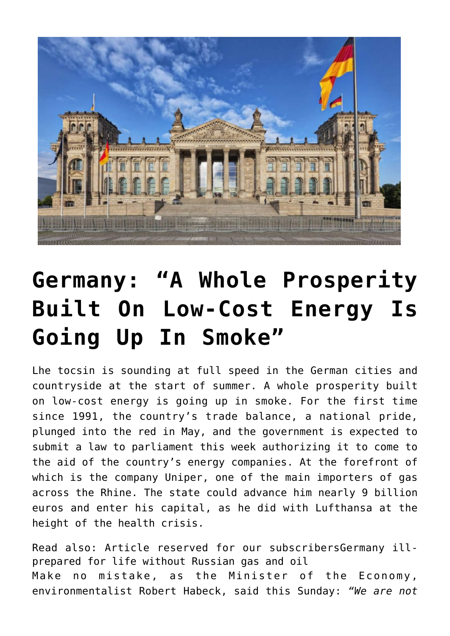

# **[Germany: "A Whole Prosperity](https://euromenaenergy.com/germany-a-whole-prosperity-built-on-low-cost-energy-is-going-up-in-smoke/) [Built On Low-Cost Energy Is](https://euromenaenergy.com/germany-a-whole-prosperity-built-on-low-cost-energy-is-going-up-in-smoke/) [Going Up In Smoke"](https://euromenaenergy.com/germany-a-whole-prosperity-built-on-low-cost-energy-is-going-up-in-smoke/)**

Lhe tocsin is sounding at full speed in the German cities and countryside at the start of summer. A whole prosperity built on low-cost energy is going up in smoke. For the first time since 1991, the country's trade balance, a national pride, plunged into the red in May, and the government is expected to submit a law to parliament this week authorizing it to come to the aid of the country's energy companies. At the forefront of which is the company Uniper, one of the main importers of gas across the Rhine. The state could advance him nearly 9 billion euros and enter his capital, as he did with Lufthansa at the height of the health crisis.

Read also: Article reserved for our subscribersGermany illprepared for life without Russian gas and oil Make no mistake, as the Minister of the Economy, environmentalist Robert Habeck, said this Sunday: *"We are not*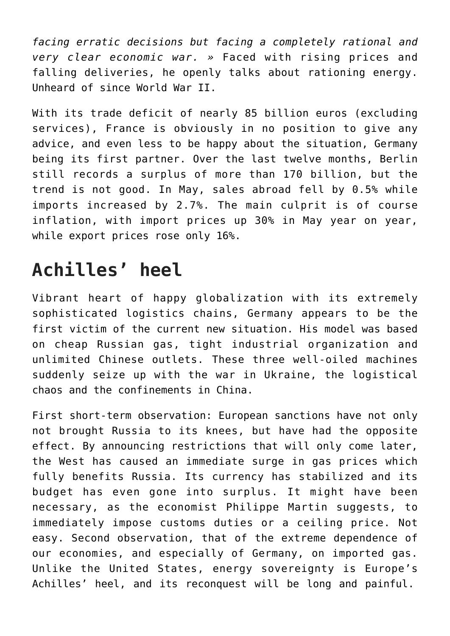*facing erratic decisions but facing a completely rational and very clear economic war. »* Faced with rising prices and falling deliveries, he openly talks about rationing energy. Unheard of since World War II.

With its trade deficit of nearly 85 billion euros (excluding services), France is obviously in no position to give any advice, and even less to be happy about the situation, Germany being its first partner. Over the last twelve months, Berlin still records a surplus of more than 170 billion, but the trend is not good. In May, sales abroad fell by 0.5% while imports increased by 2.7%. The main culprit is of course inflation, with import prices up 30% in May year on year, while export prices rose only 16%.

### **Achilles' heel**

Vibrant heart of happy globalization with its extremely sophisticated logistics chains, Germany appears to be the first victim of the current new situation. His model was based on cheap Russian gas, tight industrial organization and unlimited Chinese outlets. These three well-oiled machines suddenly seize up with the war in Ukraine, the logistical chaos and the confinements in China.

First short-term observation: European sanctions have not only not brought Russia to its knees, but have had the opposite effect. By announcing restrictions that will only come later, the West has caused an immediate surge in gas prices which fully benefits Russia. Its currency has stabilized and its budget has even gone into surplus. It might have been necessary, as the economist Philippe Martin suggests, to immediately impose customs duties or a ceiling price. Not easy. Second observation, that of the extreme dependence of our economies, and especially of Germany, on imported gas. Unlike the United States, energy sovereignty is Europe's Achilles' heel, and its reconquest will be long and painful.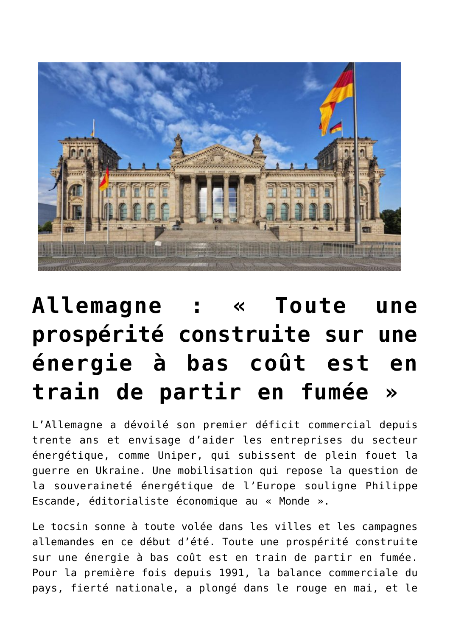

## **[Allemagne : « Toute une](https://euromenaenergy.com/allemagne-toute-une-prosperite-construite-sur-une-energie-a-bas-cout-est-en-train-de-partir-en-fumee/) [prospérité construite sur une](https://euromenaenergy.com/allemagne-toute-une-prosperite-construite-sur-une-energie-a-bas-cout-est-en-train-de-partir-en-fumee/) [énergie à bas coût est en](https://euromenaenergy.com/allemagne-toute-une-prosperite-construite-sur-une-energie-a-bas-cout-est-en-train-de-partir-en-fumee/) [train de partir en fumée »](https://euromenaenergy.com/allemagne-toute-une-prosperite-construite-sur-une-energie-a-bas-cout-est-en-train-de-partir-en-fumee/)**

L'Allemagne a dévoilé son premier déficit commercial depuis trente ans et envisage d'aider les entreprises du secteur énergétique, comme Uniper, qui subissent de plein fouet la guerre en Ukraine. Une mobilisation qui repose la question de la souveraineté énergétique de l'Europe souligne Philippe Escande, éditorialiste économique au « Monde ».

Le tocsin sonne à toute volée dans les villes et les campagnes allemandes en ce début d'été. Toute une prospérité construite sur une énergie à bas coût est en train de partir en fumée. Pour la première fois depuis 1991, la balance commerciale du pays, fierté nationale, a plongé dans le rouge en mai, et le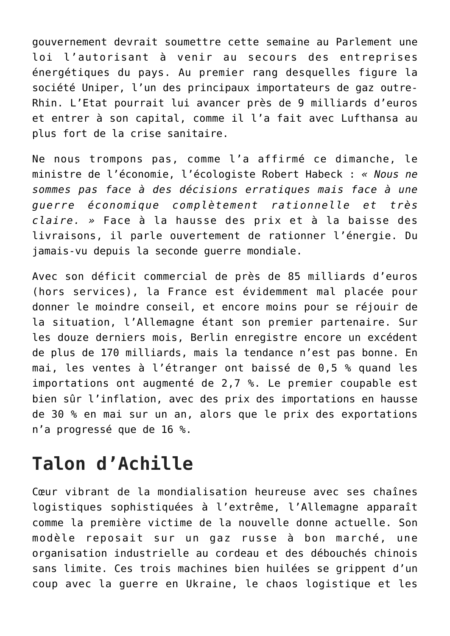gouvernement devrait soumettre cette semaine au Parlement une loi l'autorisant à venir au secours des entreprises énergétiques du pays. Au premier rang desquelles figure la société Uniper, l'un des principaux importateurs de gaz outre-Rhin. L'Etat pourrait lui avancer près de 9 milliards d'euros et entrer à son capital, comme il l'a fait avec Lufthansa au plus fort de la crise sanitaire.

Ne nous trompons pas, comme l'a affirmé ce dimanche, le ministre de l'économie, l'écologiste Robert Habeck : *« Nous ne sommes pas face à des décisions erratiques mais face à une guerre économique complètement rationnelle et très claire. »* Face à la hausse des prix et à la baisse des livraisons, il parle ouvertement de rationner l'énergie. Du jamais-vu depuis la seconde guerre mondiale.

Avec son déficit commercial de près de 85 milliards d'euros (hors services), la France est évidemment mal placée pour donner le moindre conseil, et encore moins pour se réjouir de la situation, l'Allemagne étant son premier partenaire. Sur les douze derniers mois, Berlin enregistre encore un excédent de plus de 170 milliards, mais la tendance n'est pas bonne. En mai, les ventes à l'étranger ont baissé de 0,5 % quand les importations ont augmenté de 2,7 %. Le premier coupable est bien sûr l'inflation, avec des prix des importations en hausse de 30 % en mai sur un an, alors que le prix des exportations n'a progressé que de 16 %.

### **Talon d'Achille**

Cœur vibrant de la mondialisation heureuse avec ses chaînes logistiques sophistiquées à l'extrême, l'Allemagne apparaît comme la première victime de la nouvelle donne actuelle. Son modèle reposait sur un gaz russe à bon marché, une organisation industrielle au cordeau et des débouchés chinois sans limite. Ces trois machines bien huilées se grippent d'un coup avec la guerre en Ukraine, le chaos logistique et les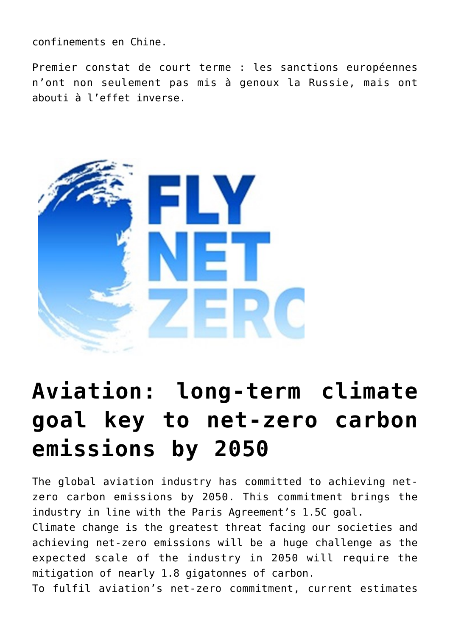confinements en Chine.

Premier constat de court terme : les sanctions européennes n'ont non seulement pas mis à genoux la Russie, mais ont abouti à l'effet inverse.



## **[Aviation: long-term climate](https://euromenaenergy.com/aviation-long-term-climate-goal-key-to-net-zero-carbon-emissions-by-2050/) [goal key to net-zero carbon](https://euromenaenergy.com/aviation-long-term-climate-goal-key-to-net-zero-carbon-emissions-by-2050/) [emissions by 2050](https://euromenaenergy.com/aviation-long-term-climate-goal-key-to-net-zero-carbon-emissions-by-2050/)**

The global aviation industry has committed to achieving netzero carbon emissions by 2050. This commitment brings the industry in line with the Paris Agreement's 1.5C goal.

Climate change is the greatest threat facing our societies and achieving net-zero emissions will be a huge challenge as the expected scale of the industry in 2050 will require the mitigation of nearly 1.8 gigatonnes of carbon.

To fulfil aviation's net-zero commitment, current estimates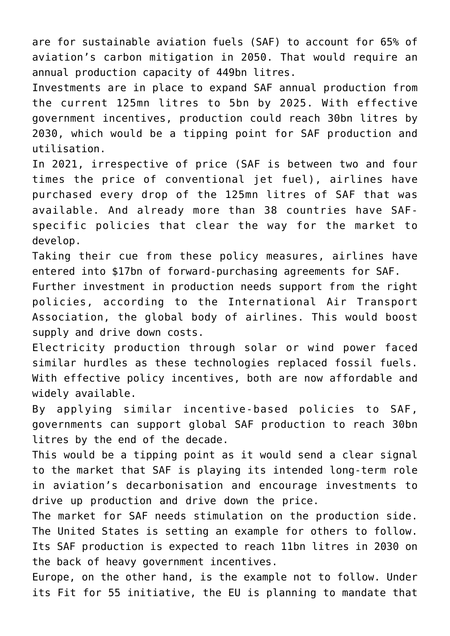are for sustainable aviation fuels (SAF) to account for 65% of aviation's carbon mitigation in 2050. That would require an annual production capacity of 449bn litres.

Investments are in place to expand SAF annual production from the current 125mn litres to 5bn by 2025. With effective government incentives, production could reach 30bn litres by 2030, which would be a tipping point for SAF production and utilisation.

In 2021, irrespective of price (SAF is between two and four times the price of conventional jet fuel), airlines have purchased every drop of the 125mn litres of SAF that was available. And already more than 38 countries have SAFspecific policies that clear the way for the market to develop.

Taking their cue from these policy measures, airlines have entered into \$17bn of forward-purchasing agreements for SAF.

Further investment in production needs support from the right policies, according to the International Air Transport Association, the global body of airlines. This would boost supply and drive down costs.

Electricity production through solar or wind power faced similar hurdles as these technologies replaced fossil fuels. With effective policy incentives, both are now affordable and widely available.

By applying similar incentive-based policies to SAF, governments can support global SAF production to reach 30bn litres by the end of the decade.

This would be a tipping point as it would send a clear signal to the market that SAF is playing its intended long-term role in aviation's decarbonisation and encourage investments to drive up production and drive down the price.

The market for SAF needs stimulation on the production side. The United States is setting an example for others to follow. Its SAF production is expected to reach 11bn litres in 2030 on the back of heavy government incentives.

Europe, on the other hand, is the example not to follow. Under its Fit for 55 initiative, the EU is planning to mandate that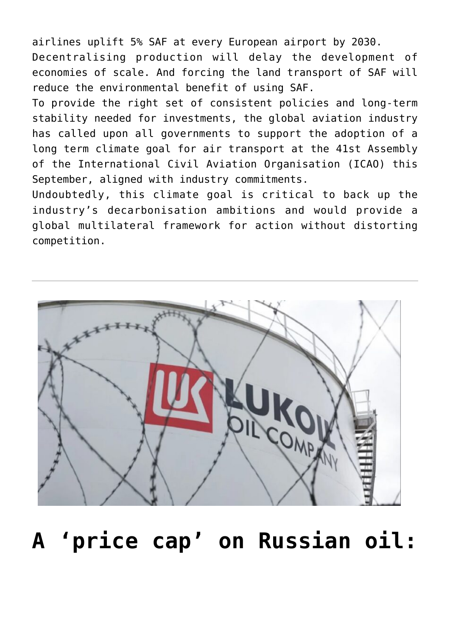airlines uplift 5% SAF at every European airport by 2030. Decentralising production will delay the development of economies of scale. And forcing the land transport of SAF will reduce the environmental benefit of using SAF.

To provide the right set of consistent policies and long-term stability needed for investments, the global aviation industry has called upon all governments to support the adoption of a long term climate goal for air transport at the 41st Assembly of the International Civil Aviation Organisation (ICAO) this September, aligned with industry commitments.

Undoubtedly, this climate goal is critical to back up the industry's decarbonisation ambitions and would provide a global multilateral framework for action without distorting competition.



### **[A 'price cap' on Russian oil:](https://euromenaenergy.com/a-price-cap-on-russian-oil-what-would-that-mean/)**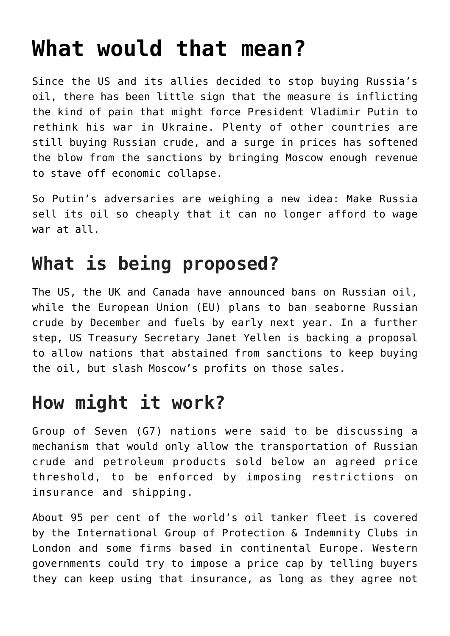### **[What would that mean?](https://euromenaenergy.com/a-price-cap-on-russian-oil-what-would-that-mean/)**

Since the US and its allies decided to stop buying Russia's oil, there has been little sign that the measure is inflicting the kind of pain that might force President Vladimir Putin to rethink his war in Ukraine. Plenty of other countries are still buying Russian crude, and a surge in prices has softened the blow from the sanctions by bringing Moscow enough revenue to stave off economic collapse.

So Putin's adversaries are weighing a new idea: Make Russia sell its oil so cheaply that it can no longer afford to wage war at all.

### **What is being proposed?**

The US, the UK and Canada have announced bans on Russian oil, while the European Union (EU) plans to ban seaborne Russian crude by December and fuels by early next year. In a further step, US Treasury Secretary Janet Yellen is backing a proposal to allow nations that abstained from sanctions to keep buying the oil, but slash Moscow's profits on those sales.

#### **How might it work?**

Group of Seven (G7) nations were said to be discussing a mechanism that would only allow the transportation of Russian crude and petroleum products sold below an agreed price threshold, to be enforced by imposing restrictions on insurance and shipping.

About 95 per cent of the world's oil tanker fleet is covered by the International Group of Protection & Indemnity Clubs in London and some firms based in continental Europe. Western governments could try to impose a price cap by telling buyers they can keep using that insurance, as long as they agree not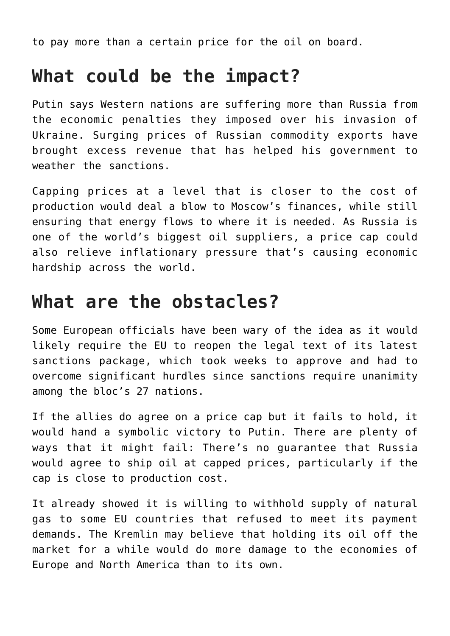to pay more than a certain price for the oil on board.

#### **What could be the impact?**

Putin says Western nations are suffering more than Russia from the economic penalties they imposed over his invasion of Ukraine. Surging prices of Russian commodity exports have brought excess revenue that has helped his government to weather the sanctions.

Capping prices at a level that is closer to the cost of production would deal a blow to Moscow's finances, while still ensuring that energy flows to where it is needed. As Russia is one of the world's biggest oil suppliers, a price cap could also relieve inflationary pressure that's causing economic hardship across the world.

#### **What are the obstacles?**

Some European officials have been wary of the idea as it would likely require the EU to reopen the legal text of its latest sanctions package, which took weeks to approve and had to overcome significant hurdles since sanctions require unanimity among the bloc's 27 nations.

If the allies do agree on a price cap but it fails to hold, it would hand a symbolic victory to Putin. There are plenty of ways that it might fail: There's no guarantee that Russia would agree to ship oil at capped prices, particularly if the cap is close to production cost.

It already showed it is willing to withhold supply of natural gas to some EU countries that refused to meet its payment demands. The Kremlin may believe that holding its oil off the market for a while would do more damage to the economies of Europe and North America than to its own.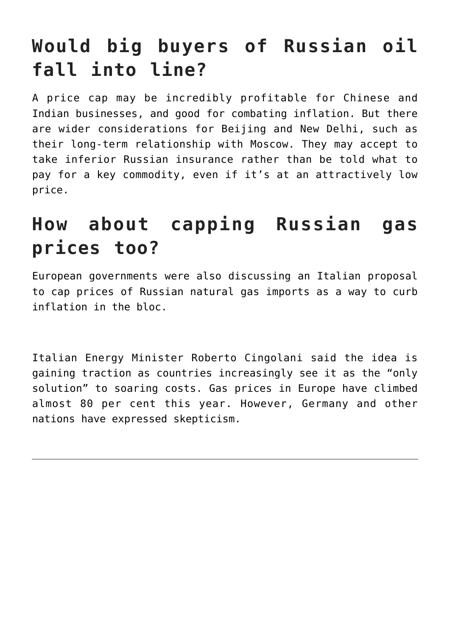### **Would big buyers of Russian oil fall into line?**

A price cap may be incredibly profitable for Chinese and Indian businesses, and good for combating inflation. But there are wider considerations for Beijing and New Delhi, such as their long-term relationship with Moscow. They may accept to take inferior Russian insurance rather than be told what to pay for a key commodity, even if it's at an attractively low price.

### **How about capping Russian gas prices too?**

European governments were also discussing an Italian proposal to cap prices of Russian natural gas imports as a way to curb inflation in the bloc.

Italian Energy Minister Roberto Cingolani said the idea is gaining traction as countries increasingly see it as the "only solution" to soaring costs. Gas prices in Europe have climbed almost 80 per cent this year. However, Germany and other nations have expressed skepticism.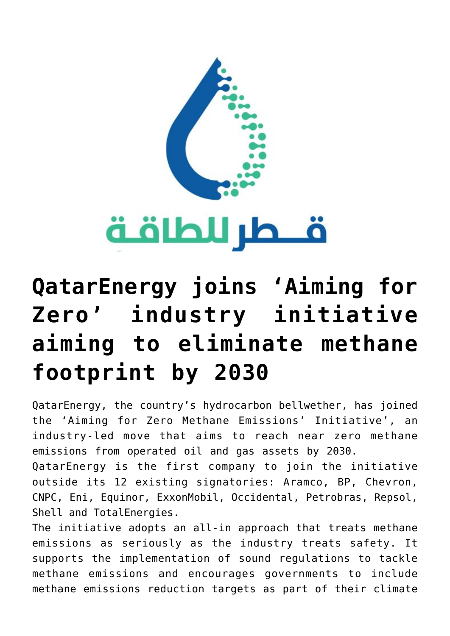

# **[QatarEnergy joins 'Aiming for](https://euromenaenergy.com/qatarenergy-joins-aiming-for-zero-industry-initiative-aiming-to-eliminate-methane-footprint-by-2030/) [Zero' industry initiative](https://euromenaenergy.com/qatarenergy-joins-aiming-for-zero-industry-initiative-aiming-to-eliminate-methane-footprint-by-2030/) [aiming to eliminate methane](https://euromenaenergy.com/qatarenergy-joins-aiming-for-zero-industry-initiative-aiming-to-eliminate-methane-footprint-by-2030/) [footprint by 2030](https://euromenaenergy.com/qatarenergy-joins-aiming-for-zero-industry-initiative-aiming-to-eliminate-methane-footprint-by-2030/)**

QatarEnergy, the country's hydrocarbon bellwether, has joined the 'Aiming for Zero Methane Emissions' Initiative', an industry-led move that aims to reach near zero methane emissions from operated oil and gas assets by 2030.

QatarEnergy is the first company to join the initiative outside its 12 existing signatories: Aramco, BP, Chevron, CNPC, Eni, Equinor, ExxonMobil, Occidental, Petrobras, Repsol, Shell and TotalEnergies.

The initiative adopts an all-in approach that treats methane emissions as seriously as the industry treats safety. It supports the implementation of sound regulations to tackle methane emissions and encourages governments to include methane emissions reduction targets as part of their climate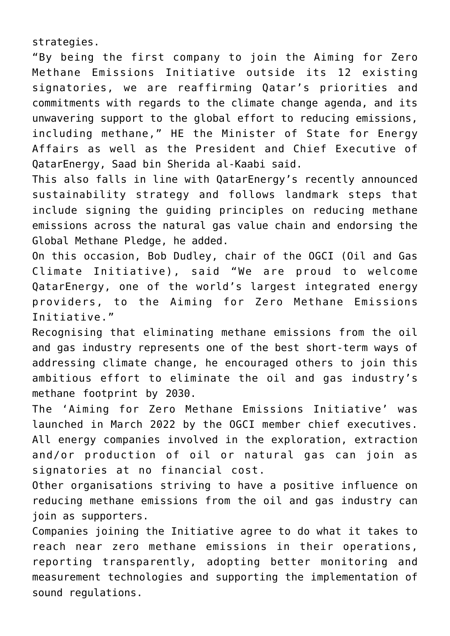strategies.

"By being the first company to join the Aiming for Zero Methane Emissions Initiative outside its 12 existing signatories, we are reaffirming Qatar's priorities and commitments with regards to the climate change agenda, and its unwavering support to the global effort to reducing emissions, including methane," HE the Minister of State for Energy Affairs as well as the President and Chief Executive of QatarEnergy, Saad bin Sherida al-Kaabi said.

This also falls in line with QatarEnergy's recently announced sustainability strategy and follows landmark steps that include signing the guiding principles on reducing methane emissions across the natural gas value chain and endorsing the Global Methane Pledge, he added.

On this occasion, Bob Dudley, chair of the OGCI (Oil and Gas Climate Initiative), said "We are proud to welcome QatarEnergy, one of the world's largest integrated energy providers, to the Aiming for Zero Methane Emissions Initiative."

Recognising that eliminating methane emissions from the oil and gas industry represents one of the best short-term ways of addressing climate change, he encouraged others to join this ambitious effort to eliminate the oil and gas industry's methane footprint by 2030.

The 'Aiming for Zero Methane Emissions Initiative' was launched in March 2022 by the OGCI member chief executives. All energy companies involved in the exploration, extraction and/or production of oil or natural gas can join as signatories at no financial cost.

Other organisations striving to have a positive influence on reducing methane emissions from the oil and gas industry can join as supporters.

Companies joining the Initiative agree to do what it takes to reach near zero methane emissions in their operations, reporting transparently, adopting better monitoring and measurement technologies and supporting the implementation of sound regulations.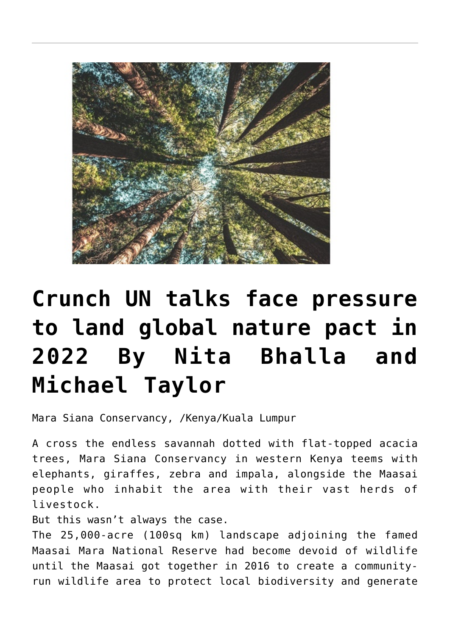

# **[Crunch UN talks face pressure](https://euromenaenergy.com/crunch-un-talks-face-pressure-to-land-global-nature-pact-in-2022-by-nita-bhalla-and-michael-taylor/) [to land global nature pact in](https://euromenaenergy.com/crunch-un-talks-face-pressure-to-land-global-nature-pact-in-2022-by-nita-bhalla-and-michael-taylor/) [2022 By Nita Bhalla and](https://euromenaenergy.com/crunch-un-talks-face-pressure-to-land-global-nature-pact-in-2022-by-nita-bhalla-and-michael-taylor/) [Michael Taylor](https://euromenaenergy.com/crunch-un-talks-face-pressure-to-land-global-nature-pact-in-2022-by-nita-bhalla-and-michael-taylor/)**

Mara Siana Conservancy, /Kenya/Kuala Lumpur

A cross the endless savannah dotted with flat-topped acacia trees, Mara Siana Conservancy in western Kenya teems with elephants, giraffes, zebra and impala, alongside the Maasai people who inhabit the area with their vast herds of livestock.

But this wasn't always the case.

The 25,000-acre (100sq km) landscape adjoining the famed Maasai Mara National Reserve had become devoid of wildlife until the Maasai got together in 2016 to create a communityrun wildlife area to protect local biodiversity and generate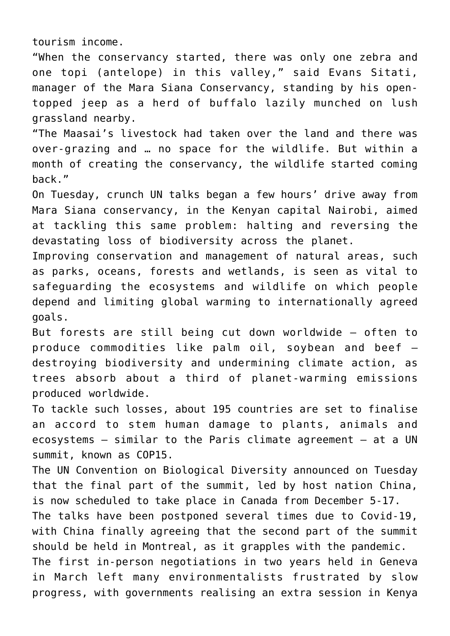tourism income.

"When the conservancy started, there was only one zebra and one topi (antelope) in this valley," said Evans Sitati, manager of the Mara Siana Conservancy, standing by his opentopped jeep as a herd of buffalo lazily munched on lush grassland nearby.

"The Maasai's livestock had taken over the land and there was over-grazing and … no space for the wildlife. But within a month of creating the conservancy, the wildlife started coming back."

On Tuesday, crunch UN talks began a few hours' drive away from Mara Siana conservancy, in the Kenyan capital Nairobi, aimed at tackling this same problem: halting and reversing the devastating loss of biodiversity across the planet.

Improving conservation and management of natural areas, such as parks, oceans, forests and wetlands, is seen as vital to safeguarding the ecosystems and wildlife on which people depend and limiting global warming to internationally agreed goals.

But forests are still being cut down worldwide — often to produce commodities like palm oil, soybean and beef destroying biodiversity and undermining climate action, as trees absorb about a third of planet-warming emissions produced worldwide.

To tackle such losses, about 195 countries are set to finalise an accord to stem human damage to plants, animals and ecosystems — similar to the Paris climate agreement — at a UN summit, known as COP15.

The UN Convention on Biological Diversity announced on Tuesday that the final part of the summit, led by host nation China, is now scheduled to take place in Canada from December 5-17.

The talks have been postponed several times due to Covid-19, with China finally agreeing that the second part of the summit should be held in Montreal, as it grapples with the pandemic.

The first in-person negotiations in two years held in Geneva in March left many environmentalists frustrated by slow progress, with governments realising an extra session in Kenya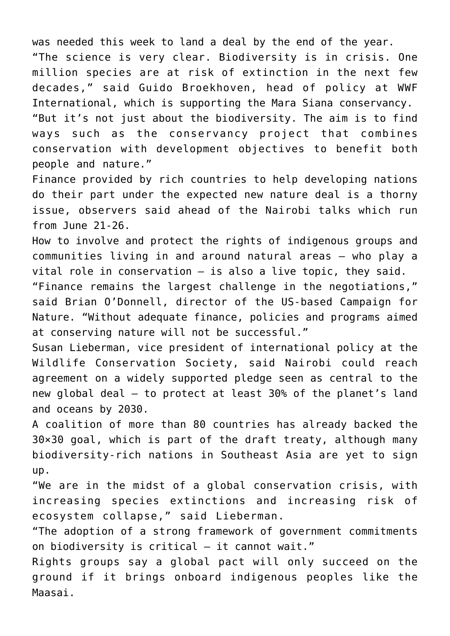was needed this week to land a deal by the end of the year. "The science is very clear. Biodiversity is in crisis. One million species are at risk of extinction in the next few decades," said Guido Broekhoven, head of policy at WWF International, which is supporting the Mara Siana conservancy. "But it's not just about the biodiversity. The aim is to find ways such as the conservancy project that combines conservation with development objectives to benefit both people and nature."

Finance provided by rich countries to help developing nations do their part under the expected new nature deal is a thorny issue, observers said ahead of the Nairobi talks which run from June 21-26.

How to involve and protect the rights of indigenous groups and communities living in and around natural areas — who play a vital role in conservation — is also a live topic, they said. "Finance remains the largest challenge in the negotiations," said Brian O'Donnell, director of the US-based Campaign for

Nature. "Without adequate finance, policies and programs aimed at conserving nature will not be successful."

Susan Lieberman, vice president of international policy at the Wildlife Conservation Society, said Nairobi could reach agreement on a widely supported pledge seen as central to the new global deal — to protect at least 30% of the planet's land and oceans by 2030.

A coalition of more than 80 countries has already backed the 30×30 goal, which is part of the draft treaty, although many biodiversity-rich nations in Southeast Asia are yet to sign up.

"We are in the midst of a global conservation crisis, with increasing species extinctions and increasing risk of ecosystem collapse," said Lieberman.

"The adoption of a strong framework of government commitments on biodiversity is critical — it cannot wait."

Rights groups say a global pact will only succeed on the ground if it brings onboard indigenous peoples like the Maasai.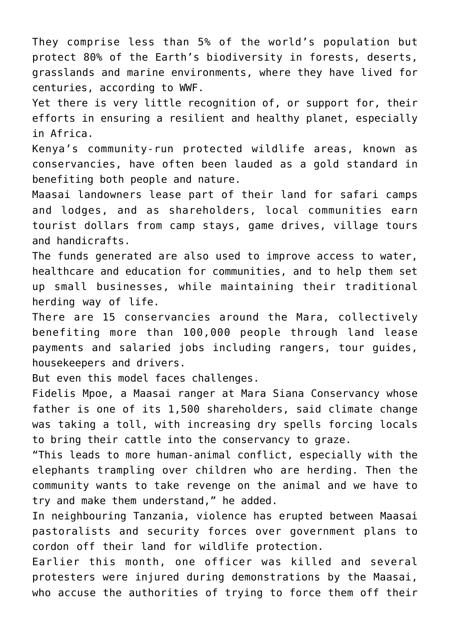They comprise less than 5% of the world's population but protect 80% of the Earth's biodiversity in forests, deserts, grasslands and marine environments, where they have lived for centuries, according to WWF.

Yet there is very little recognition of, or support for, their efforts in ensuring a resilient and healthy planet, especially in Africa.

Kenya's community-run protected wildlife areas, known as conservancies, have often been lauded as a gold standard in benefiting both people and nature.

Maasai landowners lease part of their land for safari camps and lodges, and as shareholders, local communities earn tourist dollars from camp stays, game drives, village tours and handicrafts.

The funds generated are also used to improve access to water, healthcare and education for communities, and to help them set up small businesses, while maintaining their traditional herding way of life.

There are 15 conservancies around the Mara, collectively benefiting more than 100,000 people through land lease payments and salaried jobs including rangers, tour guides, housekeepers and drivers.

But even this model faces challenges.

Fidelis Mpoe, a Maasai ranger at Mara Siana Conservancy whose father is one of its 1,500 shareholders, said climate change was taking a toll, with increasing dry spells forcing locals to bring their cattle into the conservancy to graze.

"This leads to more human-animal conflict, especially with the elephants trampling over children who are herding. Then the community wants to take revenge on the animal and we have to try and make them understand," he added.

In neighbouring Tanzania, violence has erupted between Maasai pastoralists and security forces over government plans to cordon off their land for wildlife protection.

Earlier this month, one officer was killed and several protesters were injured during demonstrations by the Maasai, who accuse the authorities of trying to force them off their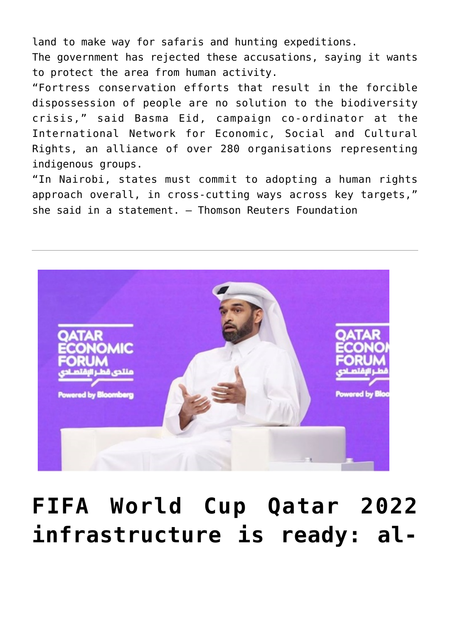land to make way for safaris and hunting expeditions.

The government has rejected these accusations, saying it wants to protect the area from human activity.

"Fortress conservation efforts that result in the forcible dispossession of people are no solution to the biodiversity crisis," said Basma Eid, campaign co-ordinator at the International Network for Economic, Social and Cultural Rights, an alliance of over 280 organisations representing indigenous groups.

"In Nairobi, states must commit to adopting a human rights approach overall, in cross-cutting ways across key targets," she said in a statement. — Thomson Reuters Foundation



## **[FIFA World Cup Qatar 2022](https://euromenaenergy.com/fifa-world-cup-qatar-2022-infrastructure-is-ready-al-thawadi/) [infrastructure is ready: al-](https://euromenaenergy.com/fifa-world-cup-qatar-2022-infrastructure-is-ready-al-thawadi/)**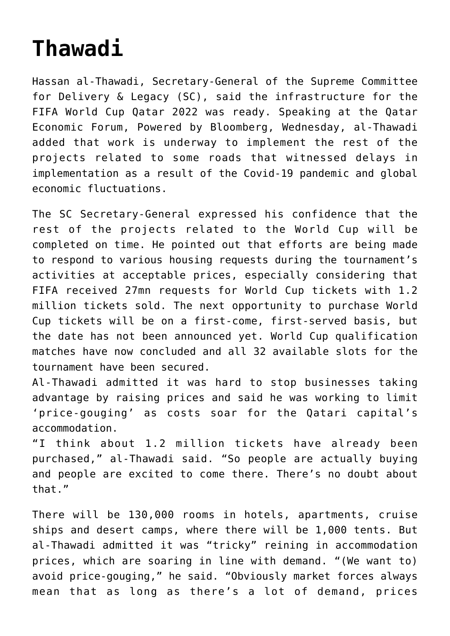## **[Thawadi](https://euromenaenergy.com/fifa-world-cup-qatar-2022-infrastructure-is-ready-al-thawadi/)**

Hassan al-Thawadi, Secretary-General of the Supreme Committee for Delivery & Legacy (SC), said the infrastructure for the FIFA World Cup Qatar 2022 was ready. Speaking at the Qatar Economic Forum, Powered by Bloomberg, Wednesday, al-Thawadi added that work is underway to implement the rest of the projects related to some roads that witnessed delays in implementation as a result of the Covid-19 pandemic and global economic fluctuations.

The SC Secretary-General expressed his confidence that the rest of the projects related to the World Cup will be completed on time. He pointed out that efforts are being made to respond to various housing requests during the tournament's activities at acceptable prices, especially considering that FIFA received 27mn requests for World Cup tickets with 1.2 million tickets sold. The next opportunity to purchase World Cup tickets will be on a first-come, first-served basis, but the date has not been announced yet. World Cup qualification matches have now concluded and all 32 available slots for the tournament have been secured.

Al-Thawadi admitted it was hard to stop businesses taking advantage by raising prices and said he was working to limit 'price-gouging' as costs soar for the Qatari capital's accommodation.

"I think about 1.2 million tickets have already been purchased," al-Thawadi said. "So people are actually buying and people are excited to come there. There's no doubt about that."

There will be 130,000 rooms in hotels, apartments, cruise ships and desert camps, where there will be 1,000 tents. But al-Thawadi admitted it was "tricky" reining in accommodation prices, which are soaring in line with demand. "(We want to) avoid price-gouging," he said. "Obviously market forces always mean that as long as there's a lot of demand, prices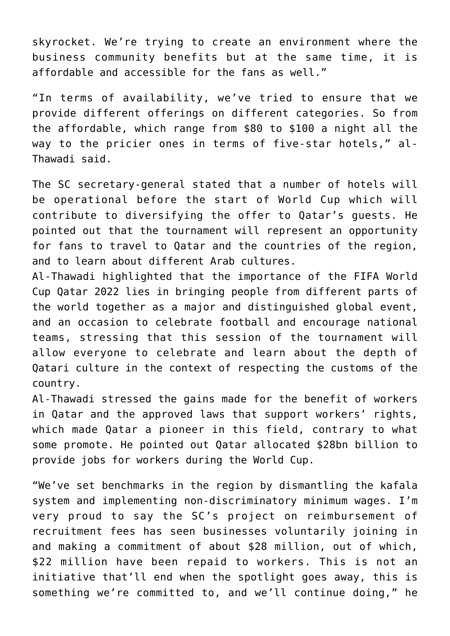skyrocket. We're trying to create an environment where the business community benefits but at the same time, it is affordable and accessible for the fans as well."

"In terms of availability, we've tried to ensure that we provide different offerings on different categories. So from the affordable, which range from \$80 to \$100 a night all the way to the pricier ones in terms of five-star hotels," al-Thawadi said.

The SC secretary-general stated that a number of hotels will be operational before the start of World Cup which will contribute to diversifying the offer to Qatar's guests. He pointed out that the tournament will represent an opportunity for fans to travel to Qatar and the countries of the region, and to learn about different Arab cultures.

Al-Thawadi highlighted that the importance of the FIFA World Cup Qatar 2022 lies in bringing people from different parts of the world together as a major and distinguished global event, and an occasion to celebrate football and encourage national teams, stressing that this session of the tournament will allow everyone to celebrate and learn about the depth of Qatari culture in the context of respecting the customs of the country.

Al-Thawadi stressed the gains made for the benefit of workers in Qatar and the approved laws that support workers' rights, which made Qatar a pioneer in this field, contrary to what some promote. He pointed out Qatar allocated \$28bn billion to provide jobs for workers during the World Cup.

"We've set benchmarks in the region by dismantling the kafala system and implementing non-discriminatory minimum wages. I'm very proud to say the SC's project on reimbursement of recruitment fees has seen businesses voluntarily joining in and making a commitment of about \$28 million, out of which, \$22 million have been repaid to workers. This is not an initiative that'll end when the spotlight goes away, this is something we're committed to, and we'll continue doing," he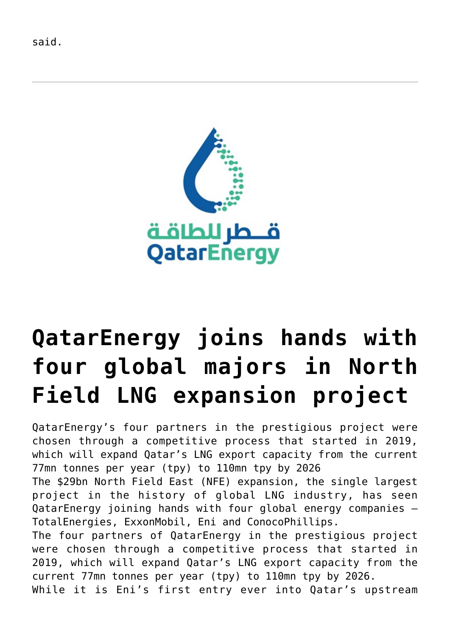said.



# **[QatarEnergy joins hands with](https://euromenaenergy.com/qatarenergy-joins-hands-with-four-global-majors-in-north-field-lng-expansion-project/) [four global majors in North](https://euromenaenergy.com/qatarenergy-joins-hands-with-four-global-majors-in-north-field-lng-expansion-project/) [Field LNG expansion project](https://euromenaenergy.com/qatarenergy-joins-hands-with-four-global-majors-in-north-field-lng-expansion-project/)**

QatarEnergy's four partners in the prestigious project were chosen through a competitive process that started in 2019, which will expand Qatar's LNG export capacity from the current 77mn tonnes per year (tpy) to 110mn tpy by 2026 The \$29bn North Field East (NFE) expansion, the single largest project in the history of global LNG industry, has seen QatarEnergy joining hands with four global energy companies – TotalEnergies, ExxonMobil, Eni and ConocoPhillips. The four partners of QatarEnergy in the prestigious project were chosen through a competitive process that started in

2019, which will expand Qatar's LNG export capacity from the current 77mn tonnes per year (tpy) to 110mn tpy by 2026. While it is Eni's first entry ever into Qatar's upstream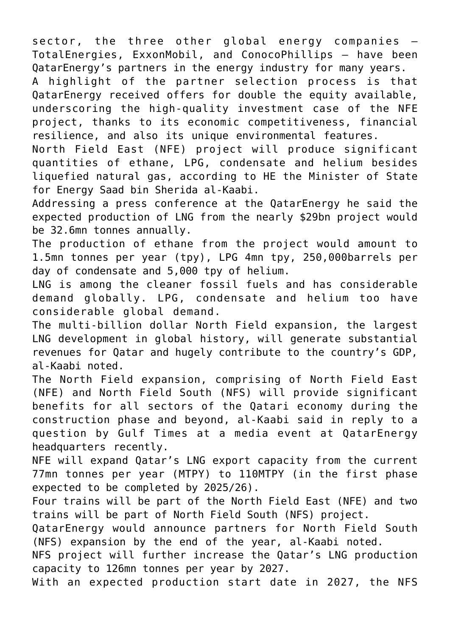sector, the three other global energy companies TotalEnergies, ExxonMobil, and ConocoPhillips – have been QatarEnergy's partners in the energy industry for many years.

A highlight of the partner selection process is that QatarEnergy received offers for double the equity available, underscoring the high-quality investment case of the NFE project, thanks to its economic competitiveness, financial resilience, and also its unique environmental features.

North Field East (NFE) project will produce significant quantities of ethane, LPG, condensate and helium besides liquefied natural gas, according to HE the Minister of State for Energy Saad bin Sherida al-Kaabi.

Addressing a press conference at the QatarEnergy he said the expected production of LNG from the nearly \$29bn project would be 32.6mn tonnes annually.

The production of ethane from the project would amount to 1.5mn tonnes per year (tpy), LPG 4mn tpy, 250,000barrels per day of condensate and 5,000 tpy of helium.

LNG is among the cleaner fossil fuels and has considerable demand globally. LPG, condensate and helium too have considerable global demand.

The multi-billion dollar North Field expansion, the largest LNG development in global history, will generate substantial revenues for Qatar and hugely contribute to the country's GDP, al-Kaabi noted.

The North Field expansion, comprising of North Field East (NFE) and North Field South (NFS) will provide significant benefits for all sectors of the Qatari economy during the construction phase and beyond, al-Kaabi said in reply to a question by Gulf Times at a media event at QatarEnergy headquarters recently.

NFE will expand Qatar's LNG export capacity from the current 77mn tonnes per year (MTPY) to 110MTPY (in the first phase expected to be completed by 2025/26).

Four trains will be part of the North Field East (NFE) and two trains will be part of North Field South (NFS) project.

QatarEnergy would announce partners for North Field South (NFS) expansion by the end of the year, al-Kaabi noted.

NFS project will further increase the Qatar's LNG production capacity to 126mn tonnes per year by 2027.

With an expected production start date in 2027, the NFS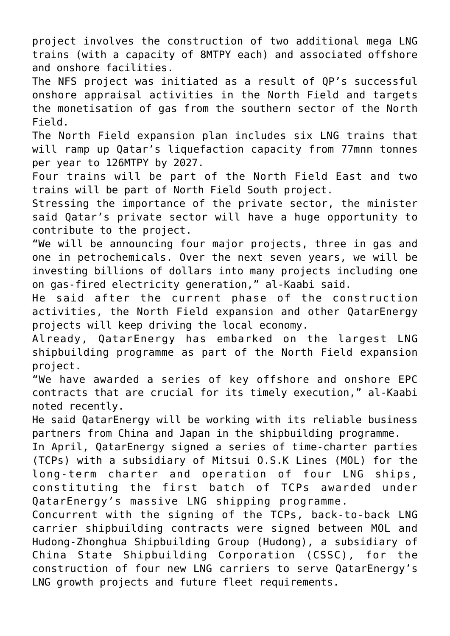project involves the construction of two additional mega LNG trains (with a capacity of 8MTPY each) and associated offshore and onshore facilities.

The NFS project was initiated as a result of QP's successful onshore appraisal activities in the North Field and targets the monetisation of gas from the southern sector of the North Field.

The North Field expansion plan includes six LNG trains that will ramp up Qatar's liquefaction capacity from 77mnn tonnes per year to 126MTPY by 2027.

Four trains will be part of the North Field East and two trains will be part of North Field South project.

Stressing the importance of the private sector, the minister said Qatar's private sector will have a huge opportunity to contribute to the project.

"We will be announcing four major projects, three in gas and one in petrochemicals. Over the next seven years, we will be investing billions of dollars into many projects including one on gas-fired electricity generation," al-Kaabi said.

He said after the current phase of the construction activities, the North Field expansion and other QatarEnergy projects will keep driving the local economy.

Already, QatarEnergy has embarked on the largest LNG shipbuilding programme as part of the North Field expansion project.

"We have awarded a series of key offshore and onshore EPC contracts that are crucial for its timely execution," al-Kaabi noted recently.

He said QatarEnergy will be working with its reliable business partners from China and Japan in the shipbuilding programme.

In April, QatarEnergy signed a series of time-charter parties (TCPs) with a subsidiary of Mitsui O.S.K Lines (MOL) for the long-term charter and operation of four LNG ships, constituting the first batch of TCPs awarded under QatarEnergy's massive LNG shipping programme.

Concurrent with the signing of the TCPs, back-to-back LNG carrier shipbuilding contracts were signed between MOL and Hudong-Zhonghua Shipbuilding Group (Hudong), a subsidiary of China State Shipbuilding Corporation (CSSC), for the construction of four new LNG carriers to serve QatarEnergy's LNG growth projects and future fleet requirements.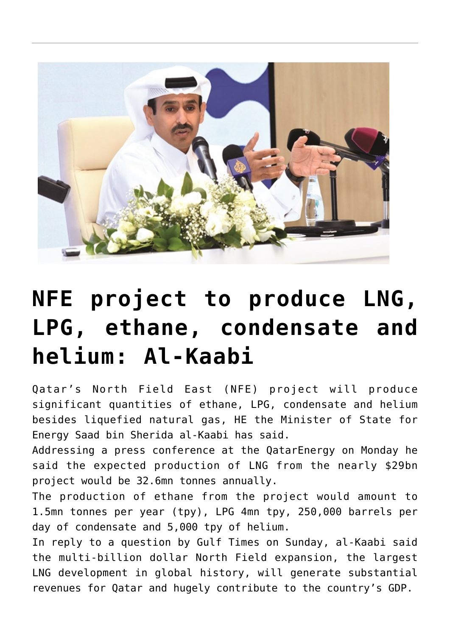

## **[NFE project to produce LNG,](https://euromenaenergy.com/nfe-project-to-produce-lng-lpg-ethane-condensate-and-helium-al-kaabi/) [LPG, ethane, condensate and](https://euromenaenergy.com/nfe-project-to-produce-lng-lpg-ethane-condensate-and-helium-al-kaabi/) [helium: Al-Kaabi](https://euromenaenergy.com/nfe-project-to-produce-lng-lpg-ethane-condensate-and-helium-al-kaabi/)**

Qatar's North Field East (NFE) project will produce significant quantities of ethane, LPG, condensate and helium besides liquefied natural gas, HE the Minister of State for Energy Saad bin Sherida al-Kaabi has said.

Addressing a press conference at the QatarEnergy on Monday he said the expected production of LNG from the nearly \$29bn project would be 32.6mn tonnes annually.

The production of ethane from the project would amount to 1.5mn tonnes per year (tpy), LPG 4mn tpy, 250,000 barrels per day of condensate and 5,000 tpy of helium.

In reply to a question by Gulf Times on Sunday, al-Kaabi said the multi-billion dollar North Field expansion, the largest LNG development in global history, will generate substantial revenues for Qatar and hugely contribute to the country's GDP.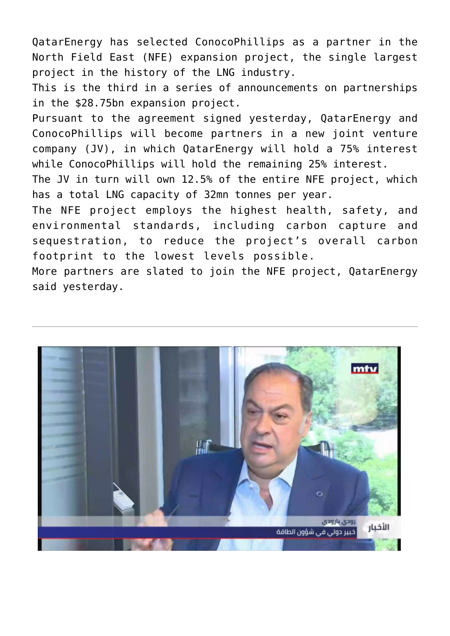QatarEnergy has selected ConocoPhillips as a partner in the North Field East (NFE) expansion project, the single largest project in the history of the LNG industry.

This is the third in a series of announcements on partnerships in the \$28.75bn expansion project.

Pursuant to the agreement signed yesterday, QatarEnergy and ConocoPhillips will become partners in a new joint venture company (JV), in which QatarEnergy will hold a 75% interest while ConocoPhillips will hold the remaining 25% interest.

The JV in turn will own 12.5% of the entire NFE project, which has a total LNG capacity of 32mn tonnes per year.

The NFE project employs the highest health, safety, and environmental standards, including carbon capture and sequestration, to reduce the project's overall carbon footprint to the lowest levels possible.

More partners are slated to join the NFE project, QatarEnergy said yesterday.